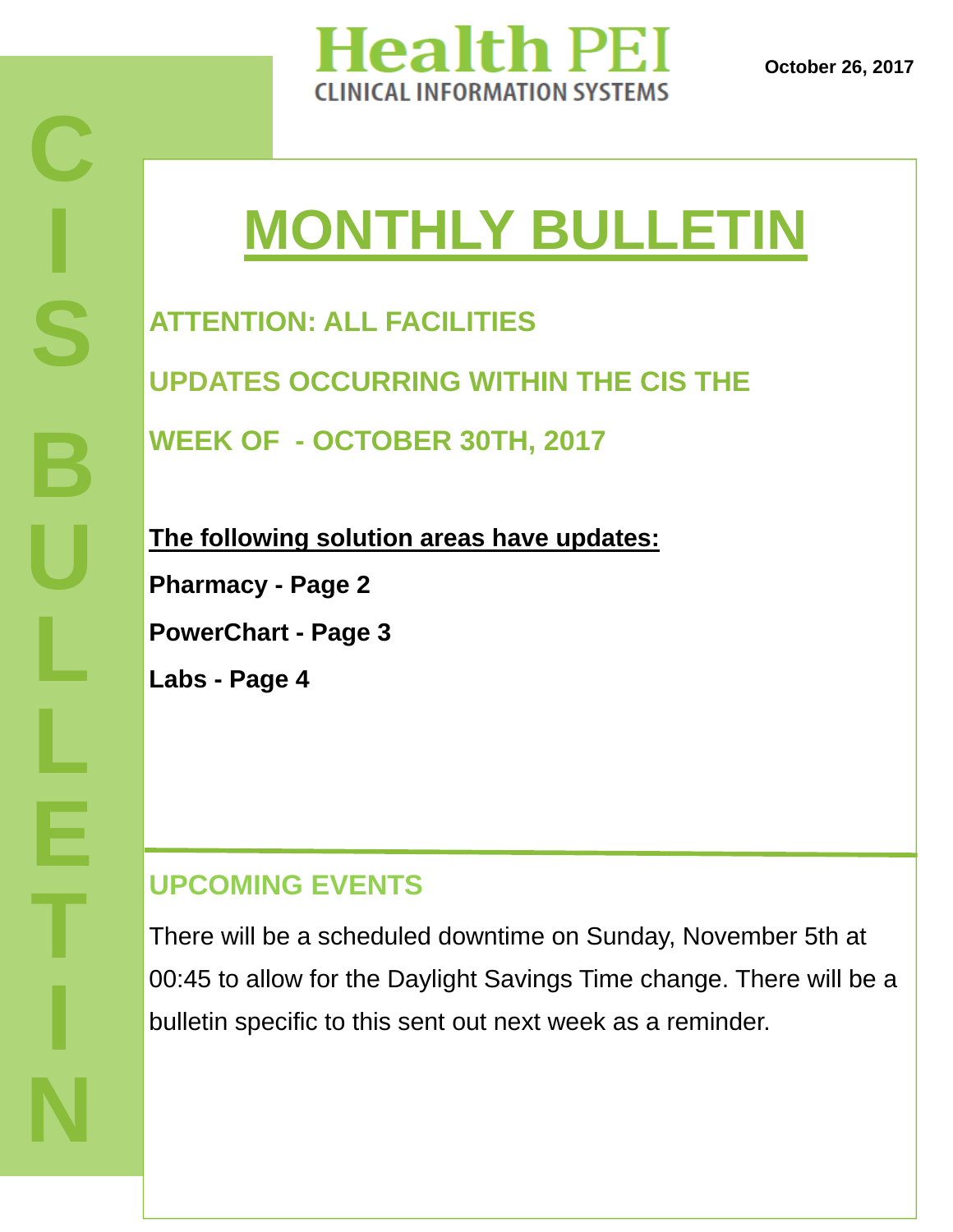

**October 26, 2017** 

# **MONTHLY BULLETIN**

**ATTENTION: ALL FACILITIES UPDATES OCCURRING WITHIN THE CIS THE WEEK OF - OCTOBER 30TH, 2017** 

**The following solution areas have updates: Pharmacy - Page 2 PowerChart - Page 3 Labs - Page 4**

## **UPCOMING EVENTS**

There will be a scheduled downtime on Sunday, November 5th at 00:45 to allow for the Daylight Savings Time change. There will be a bulletin specific to this sent out next week as a reminder.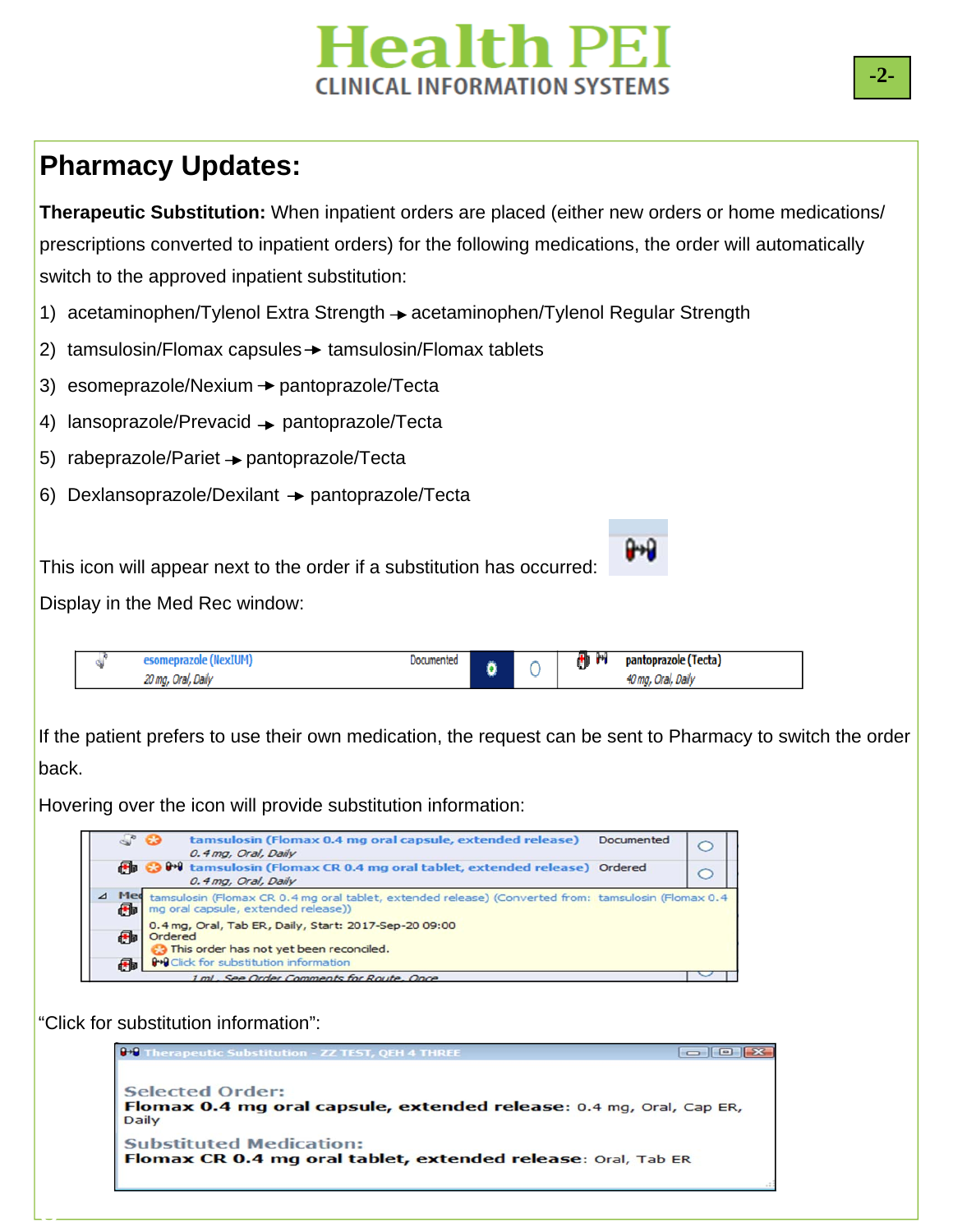# **Health PEI** INICAL INFORMATION SYSTEMS

### **Pharmacy Updates:**

**Therapeutic Substitution:** When inpatient orders are placed (either new orders or home medications/ prescriptions converted to inpatient orders) for the following medications, the order will automatically switch to the approved inpatient substitution:

- 1) acetaminophen/Tylenol Extra Strength  $\rightarrow$  acetaminophen/Tylenol Regular Strength
- 2) tamsulosin/Flomax capsules  $\rightarrow$  tamsulosin/Flomax tablets
- 3) esomeprazole/Nexium + pantoprazole/Tecta
- 4) lansoprazole/Prevacid  $\rightarrow$  pantoprazole/Tecta
- 5) rabeprazole/Pariet  $\rightarrow$  pantoprazole/Tecta
- 6) Dexlansoprazole/Dexilant  $\rightarrow$  pantoprazole/Tecta

This icon will appear next to the order if a substitution has occurred:

Display in the Med Rec window:

| <b>SALUTTE</b>         | Documented | ₩<br><b>Side</b><br><br>יש | $\sim$<br>pantoprazole (Tecta) |
|------------------------|------------|----------------------------|--------------------------------|
| Dail<br>20 mg,<br>Orai |            |                            | Dai<br>40 ma.<br>Oral          |

If the patient prefers to use their own medication, the request can be sent to Pharmacy to switch the order back.

P₩

Hovering over the icon will provide substitution information:



"Click for substitution information":

**C**

| <b>Selected Order:</b>                                                                         |  |  |
|------------------------------------------------------------------------------------------------|--|--|
| Flomax 0.4 mg oral capsule, extended release: 0.4 mg, Oral, Cap ER,<br>Daily                   |  |  |
| <b>Substituted Medication:</b><br>Flomax CR 0.4 mg oral tablet, extended release: Oral, Tab ER |  |  |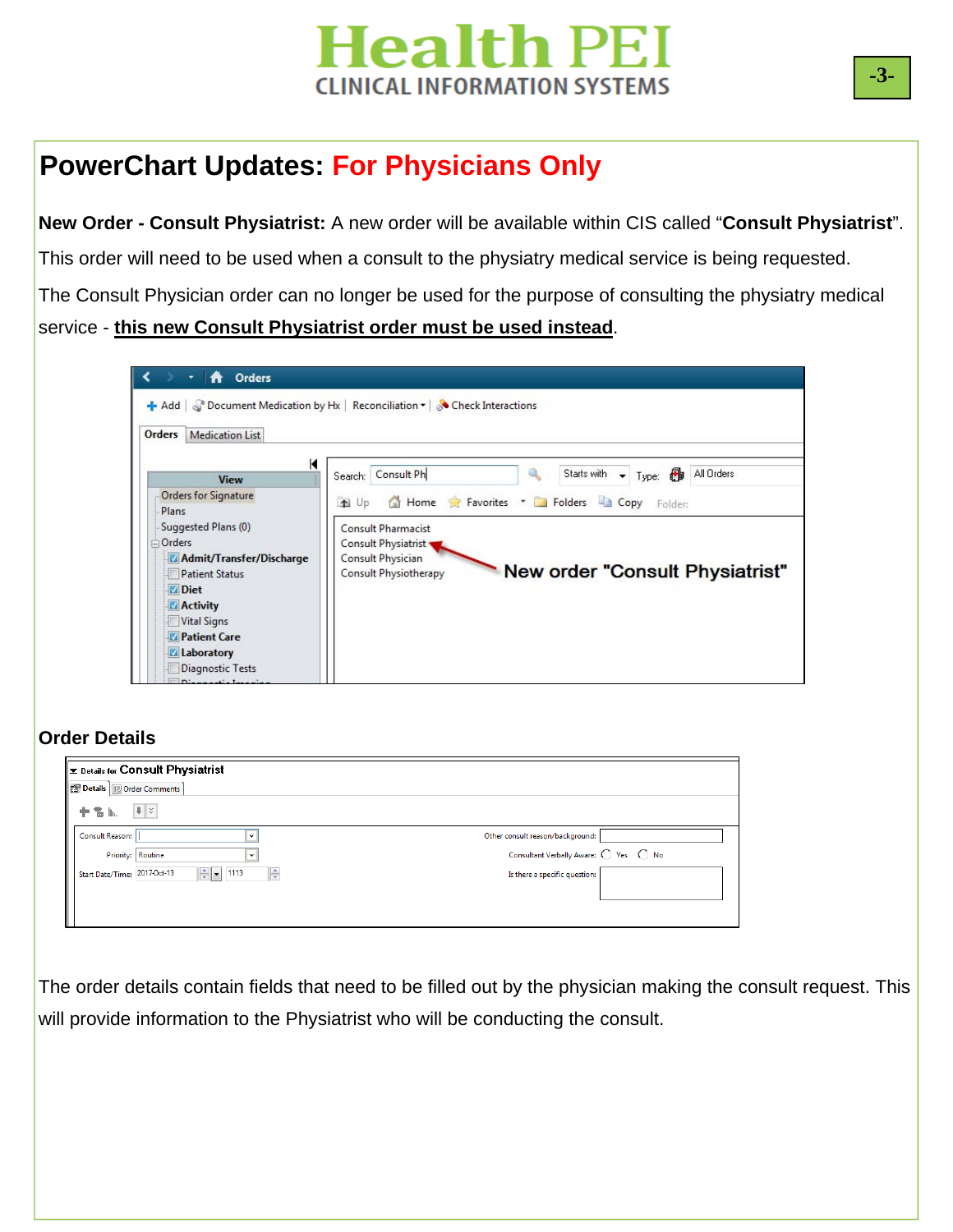# **Health PEI CLINICAL INFORMATION SYSTEMS**

### **PowerChart Updates: For Physicians Only**

**New Order - Consult Physiatrist:** A new order will be available within CIS called "**Consult Physiatrist**".

This order will need to be used when a consult to the physiatry medical service is being requested.

The Consult Physician order can no longer be used for the purpose of consulting the physiatry medical service - **this new Consult Physiatrist order must be used instead**.

| $\frac{1}{2}$ Add $\frac{1}{2}$ Document Medication by Hx Reconciliation $\cdot$ $\frac{1}{2}$ Check Interactions<br><b>Medication List</b><br><b>Orders</b>                                                                                                               |                                                                                                                                                  |                                                                                                                                             |
|----------------------------------------------------------------------------------------------------------------------------------------------------------------------------------------------------------------------------------------------------------------------------|--------------------------------------------------------------------------------------------------------------------------------------------------|---------------------------------------------------------------------------------------------------------------------------------------------|
| K<br><b>View</b><br><b>Orders for Signature</b><br>Plans<br>Suggested Plans (0)<br>in Orders<br>Admit/Transfer/Discharge<br><b>Patient Status</b><br>Diet<br><b>Activity</b><br>Vital Signs<br>Patient Care<br>Laboratory<br>Diagnostic Tests<br>$\mathbf{D}$ $\mathbf{D}$ | Consult Ph<br>Search:<br>$\triangle$ Up<br><b>Consult Pharmacist</b><br>Consult Physiatrist<br>Consult Physician<br><b>Consult Physiotherapy</b> | ۹<br>All Orders<br>Starts with<br>Type: 6<br>$\cdot$<br>Home <b>x</b> Favorites T Folders a Copy Folder:<br>New order "Consult Physiatrist" |

#### **Order Details**

| Details U. Order Comments                                 |                                       |
|-----------------------------------------------------------|---------------------------------------|
| $  \mathbf{L}   \times$<br>十名址                            |                                       |
| Consult Reason:<br>$\checkmark$                           | Other consult reason/background:      |
| <b>Priority: Routine</b><br>$\check{~}$                   | Consultant Verbally Aware: O Yes O No |
| $\frac{1}{2}$ - 1113<br>Start Date/Time: 2017-Oct-13<br>÷ | Is there a specific question:         |
|                                                           |                                       |

The order details contain fields that need to be filled out by the physician making the consult request. This will provide information to the Physiatrist who will be conducting the consult.